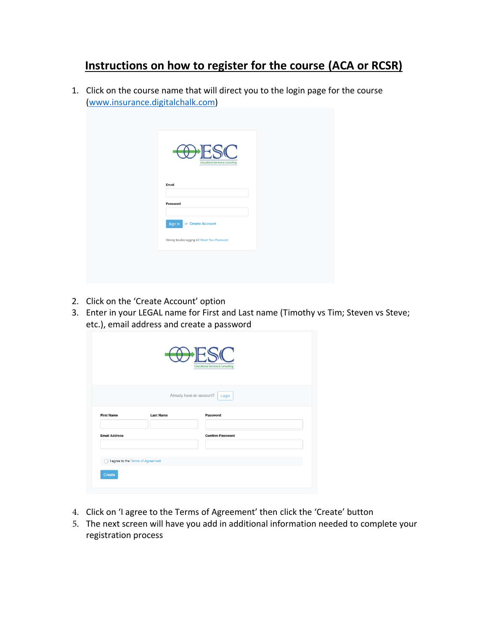## **Instructions on how to register for the course (ACA or RCSR)**

1. Click on the course name that will direct you to the login page for the course [\(www.insurance.digitalchalk.com\)](http://www.insurance.digitalchalk.com/)

| <b>ADHESC</b><br><b>Educational Services &amp; Consulting</b> |  |
|---------------------------------------------------------------|--|
| Email                                                         |  |
| Password                                                      |  |
| or Create Account<br>Sign In                                  |  |
| Having trouble logging in? Reset Your Password                |  |

- 2. Click on the 'Create Account' option
- 3. Enter in your LEGAL name for First and Last name (Timothy vs Tim; Steven vs Steve; etc.), email address and create a password

|                                             |                  | <b>Educational Services &amp; Consulting</b>  |
|---------------------------------------------|------------------|-----------------------------------------------|
| <b>First Name</b>                           | <b>Last Name</b> | Already have an account?<br>Login<br>Password |
| <b>Email Address</b>                        |                  | <b>Confirm Password</b>                       |
| I agree to the Terms of Agreement<br>Create |                  |                                               |

- 4. Click on 'I agree to the Terms of Agreement' then click the 'Create' button
- 5. The next screen will have you add in additional information needed to complete your registration process